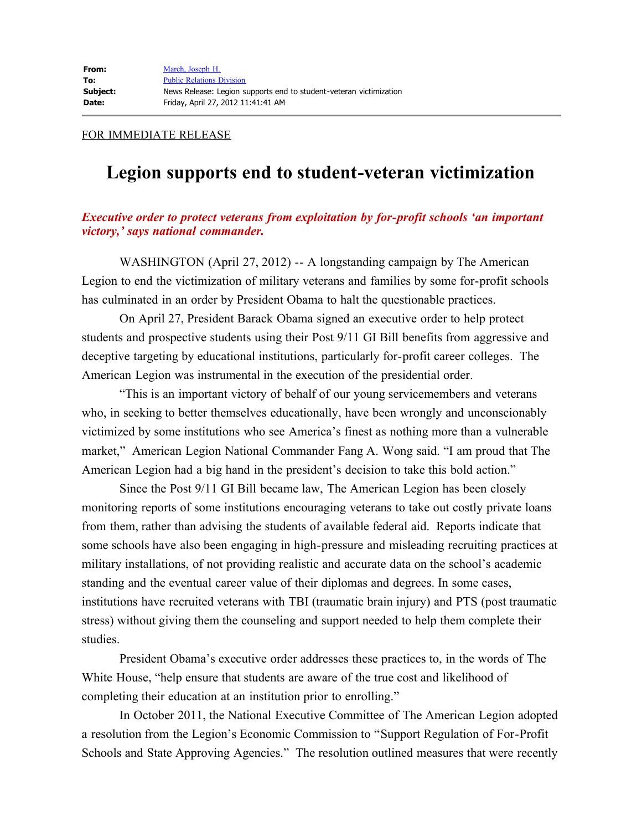## FOR IMMEDIATE RELEASE

## **Legion supports end to student-veteran victimization**

## *Executive order to protect veterans from exploitation by for-profit schools 'an important victory,' says national commander.*

 WASHINGTON (April 27, 2012) -- A longstanding campaign by The American Legion to end the victimization of military veterans and families by some for-profit schools has culminated in an order by President Obama to halt the questionable practices.

 On April 27, President Barack Obama signed an executive order to help protect students and prospective students using their Post 9/11 GI Bill benefits from aggressive and deceptive targeting by educational institutions, particularly for-profit career colleges. The American Legion was instrumental in the execution of the presidential order.

 "This is an important victory of behalf of our young servicemembers and veterans who, in seeking to better themselves educationally, have been wrongly and unconscionably victimized by some institutions who see America's finest as nothing more than a vulnerable market," American Legion National Commander Fang A. Wong said. "I am proud that The American Legion had a big hand in the president's decision to take this bold action."

 Since the Post 9/11 GI Bill became law, The American Legion has been closely monitoring reports of some institutions encouraging veterans to take out costly private loans from them, rather than advising the students of available federal aid. Reports indicate that some schools have also been engaging in high-pressure and misleading recruiting practices at military installations, of not providing realistic and accurate data on the school's academic standing and the eventual career value of their diplomas and degrees. In some cases, institutions have recruited veterans with TBI (traumatic brain injury) and PTS (post traumatic stress) without giving them the counseling and support needed to help them complete their studies.

 President Obama's executive order addresses these practices to, in the words of The White House, "help ensure that students are aware of the true cost and likelihood of completing their education at an institution prior to enrolling."

 In October 2011, the National Executive Committee of The American Legion adopted a resolution from the Legion's Economic Commission to "Support Regulation of For-Profit Schools and State Approving Agencies." The resolution outlined measures that were recently